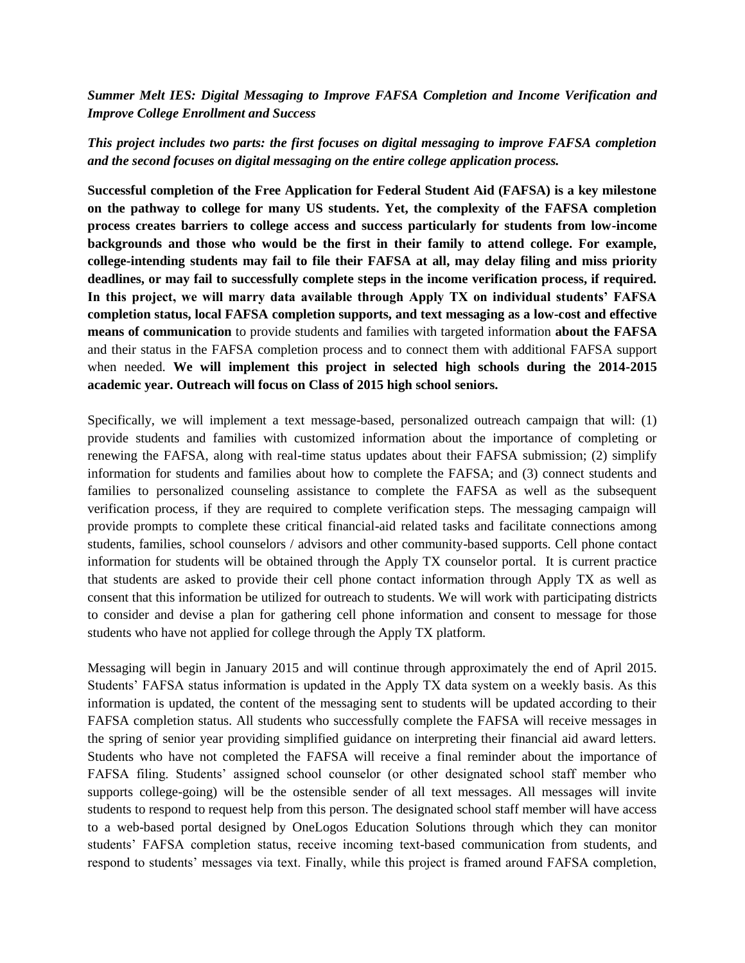## *Summer Melt IES: Digital Messaging to Improve FAFSA Completion and Income Verification and Improve College Enrollment and Success*

## *This project includes two parts: the first focuses on digital messaging to improve FAFSA completion and the second focuses on digital messaging on the entire college application process.*

**Successful completion of the Free Application for Federal Student Aid (FAFSA) is a key milestone on the pathway to college for many US students. Yet, the complexity of the FAFSA completion process creates barriers to college access and success particularly for students from low-income backgrounds and those who would be the first in their family to attend college. For example, college-intending students may fail to file their FAFSA at all, may delay filing and miss priority deadlines, or may fail to successfully complete steps in the income verification process, if required. In this project, we will marry data available through Apply TX on individual students' FAFSA completion status, local FAFSA completion supports, and text messaging as a low-cost and effective means of communication** to provide students and families with targeted information **about the FAFSA**  and their status in the FAFSA completion process and to connect them with additional FAFSA support when needed. **We will implement this project in selected high schools during the 2014-2015 academic year. Outreach will focus on Class of 2015 high school seniors.**

Specifically, we will implement a text message-based, personalized outreach campaign that will: (1) provide students and families with customized information about the importance of completing or renewing the FAFSA, along with real-time status updates about their FAFSA submission; (2) simplify information for students and families about how to complete the FAFSA; and (3) connect students and families to personalized counseling assistance to complete the FAFSA as well as the subsequent verification process, if they are required to complete verification steps. The messaging campaign will provide prompts to complete these critical financial-aid related tasks and facilitate connections among students, families, school counselors / advisors and other community-based supports. Cell phone contact information for students will be obtained through the Apply TX counselor portal. It is current practice that students are asked to provide their cell phone contact information through Apply TX as well as consent that this information be utilized for outreach to students. We will work with participating districts to consider and devise a plan for gathering cell phone information and consent to message for those students who have not applied for college through the Apply TX platform.

Messaging will begin in January 2015 and will continue through approximately the end of April 2015. Students' FAFSA status information is updated in the Apply TX data system on a weekly basis. As this information is updated, the content of the messaging sent to students will be updated according to their FAFSA completion status. All students who successfully complete the FAFSA will receive messages in the spring of senior year providing simplified guidance on interpreting their financial aid award letters. Students who have not completed the FAFSA will receive a final reminder about the importance of FAFSA filing. Students' assigned school counselor (or other designated school staff member who supports college-going) will be the ostensible sender of all text messages. All messages will invite students to respond to request help from this person. The designated school staff member will have access to a web-based portal designed by OneLogos Education Solutions through which they can monitor students' FAFSA completion status, receive incoming text-based communication from students, and respond to students' messages via text. Finally, while this project is framed around FAFSA completion,